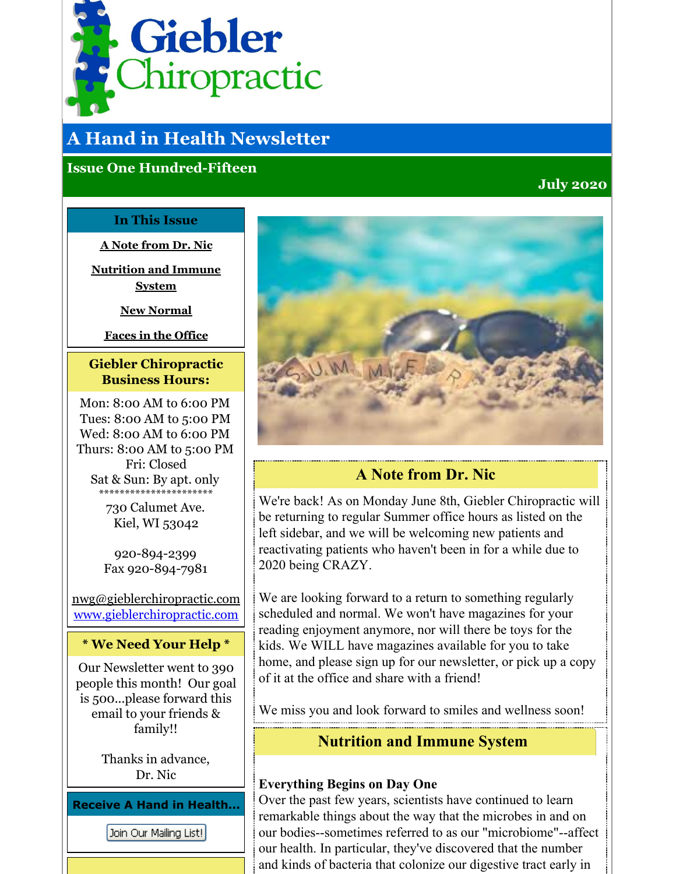<span id="page-0-0"></span>

# **A Hand in Health Newsletter**

## **Issue One Hundred-Fifteen**

## **July 2020**

#### **In This Issue**

**A Note [from](#page-0-0) Dr. Nic**

**[Nutrition](#page-0-0) and Immune System**

**New [Normal](#page-0-0)**

**Faces in the [Office](#page-0-0)**

## **Giebler Chiropractic Business Hours:**

Mon: 8:00 AM to 6:00 PM Tues: 8:00 AM to 5:00 PM Wed: 8:00 AM to 6:00 PM Thurs: 8:00 AM to 5:00 PM Fri: Closed Sat & Sun: By apt. only \*\*\*\*\*\*\*\*\*\*\*\*\*\*\*\*\*\*\*\*\*\*

> 730 Calumet Ave. Kiel, WI 53042

920-894-2399 Fax 920-894-7981

nwg@gieblerchiropractic.com [www.gieblerchiropractic.com](http://www.gieblerchiropractic.com)

#### **\* We Need Your Help \***

Our Newsletter went to 390 people this month! Our goal is 500...please forward this email to your friends & family!!

> Thanks in advance, Dr. Nic

**Receive A Hand in Health...**

Join Our Mailing List!



## **A Note from Dr. Nic**

We're back! As on Monday June 8th, Giebler Chiropractic will be returning to regular Summer office hours as listed on the left sidebar, and we will be welcoming new patients and reactivating patients who haven't been in for a while due to 2020 being CRAZY.

We are looking forward to a return to something regularly scheduled and normal. We won't have magazines for your reading enjoyment anymore, nor will there be toys for the kids. We WILL have magazines available for you to take home, and please sign up for our newsletter, or pick up a copy of it at the office and share with a friend!

We miss you and look forward to smiles and wellness soon!

## **Nutrition and Immune System**

### **Everything Begins on Day One**

Over the past few years, scientists have continued to learn remarkable things about the way that the microbes in and on our bodies--sometimes referred to as our "microbiome"--affect our health. In particular, they've discovered that the number and kinds of bacteria that colonize our digestive tract early in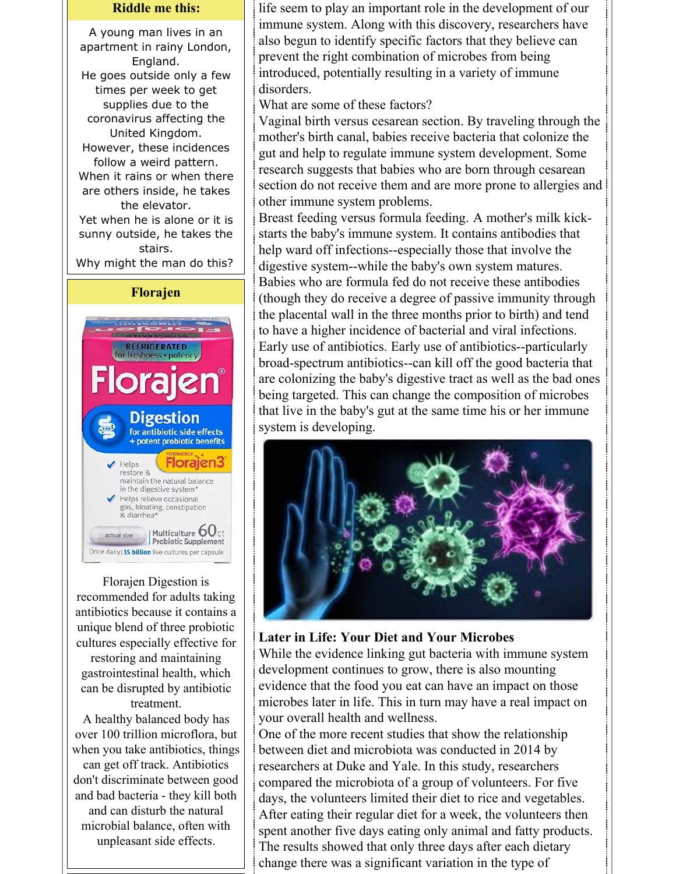#### **Riddle me this:**

A young man lives in an apartment in rainy London, England. He goes outside only a few times per week to get supplies due to the coronavirus affecting the United Kingdom. However, these incidences follow a weird pattern. When it rains or when there are others inside, he takes the elevator. Yet when he is alone or it is sunny outside, he takes the stairs.





Florajen Digestion is recommended for adults taking antibiotics because it contains a unique blend of three probiotic cultures especially effective for

restoring and maintaining gastrointestinal health, which can be disrupted by antibiotic treatment.

A healthy balanced body has over 100 trillion microflora, but when you take antibiotics, things can get off track. Antibiotics don't discriminate between good and bad bacteria - they kill both and can disturb the natural microbial balance, often with unpleasant side effects.

life seem to play an important role in the development of our immune system. Along with this discovery, researchers have also begun to identify specific factors that they believe can prevent the right combination of microbes from being introduced, potentially resulting in a variety of immune disorders.

What are some of these factors?

Vaginal birth versus cesarean section. By traveling through the mother's birth canal, babies receive bacteria that colonize the gut and help to regulate immune system development. Some research suggests that babies who are born through cesarean section do not receive them and are more prone to allergies and other immune system problems.

Breast feeding versus formula feeding. A mother's milk kickstarts the baby's immune system. It contains antibodies that help ward off infections--especially those that involve the digestive system--while the baby's own system matures. Babies who are formula fed do not receive these antibodies (though they do receive a degree of passive immunity through the placental wall in the three months prior to birth) and tend to have a higher incidence of bacterial and viral infections. Early use of antibiotics. Early use of antibiotics--particularly broad-spectrum antibiotics--can kill off the good bacteria that are colonizing the baby's digestive tract as well as the bad ones being targeted. This can change the composition of microbes that live in the baby's gut at the same time his or her immune system is developing.



#### **Later in Life: Your Diet and Your Microbes**

While the evidence linking gut bacteria with immune system development continues to grow, there is also mounting evidence that the food you eat can have an impact on those microbes later in life. This in turn may have a real impact on your overall health and wellness.

One of the more recent studies that show the relationship between diet and microbiota was conducted in 2014 by researchers at Duke and Yale. In this study, researchers compared the microbiota of a group of volunteers. For five days, the volunteers limited their diet to rice and vegetables. After eating their regular diet for a week, the volunteers then spent another five days eating only animal and fatty products. The results showed that only three days after each dietary change there was a significant variation in the type of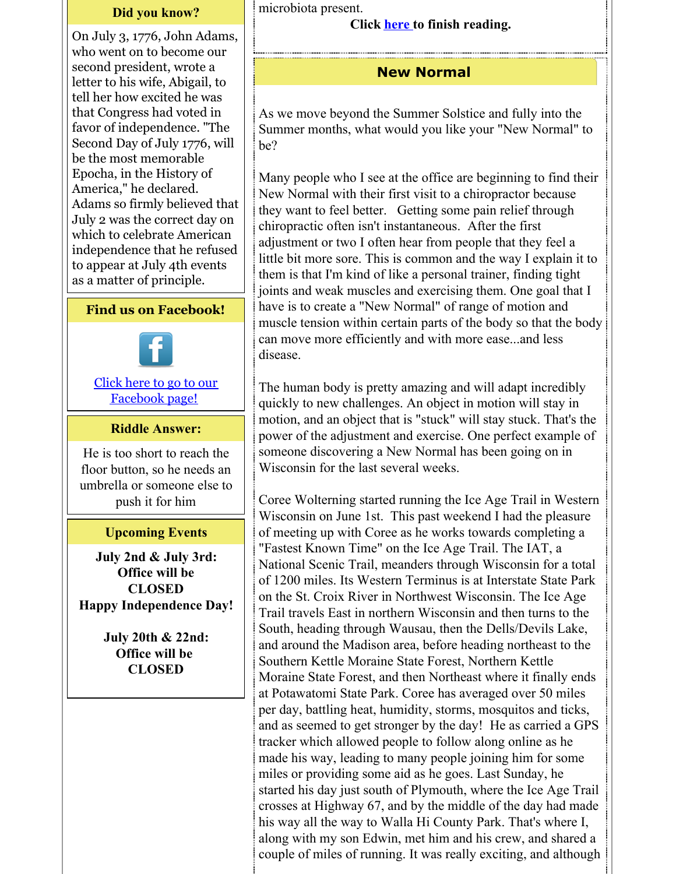#### **Did you know?**

On July 3, 1776, John Adams, who went on to become our second president, wrote a letter to his wife, Abigail, to tell her how excited he was that Congress had voted in favor of independence. "The Second Day of July 1776, will be the most memorable Epocha, in the History of America," he declared. Adams so firmly believed that July 2 was the correct day on which to celebrate American independence that he refused to appear at July 4th events as a matter of principle.

#### **Find us on Facebook!**



Click here to go to our [Facebook](http://www.facebook.com/pages/Giebler-Chiropractic/218099108202339) page!

#### **Riddle Answer:**

He is too short to reach the floor button, so he needs an umbrella or someone else to push it for him

#### **Upcoming Events**

**July 2nd & July 3rd: Office will be CLOSED Happy Independence Day!**

> **July 20th & 22nd: Office will be CLOSED**

microbiota present.

#### **Click [here](https://gieblerchiropractic.blogspot.com/2020/07/nutrition-and-immune-system.html) to finish reading.**

#### **New Normal**

As we move beyond the Summer Solstice and fully into the Summer months, what would you like your "New Normal" to be?

Many people who I see at the office are beginning to find their New Normal with their first visit to a chiropractor because they want to feel better. Getting some pain relief through chiropractic often isn't instantaneous. After the first adjustment or two I often hear from people that they feel a little bit more sore. This is common and the way I explain it to them is that I'm kind of like a personal trainer, finding tight joints and weak muscles and exercising them. One goal that I have is to create a "New Normal" of range of motion and muscle tension within certain parts of the body so that the body can move more efficiently and with more ease...and less disease.

The human body is pretty amazing and will adapt incredibly quickly to new challenges. An object in motion will stay in motion, and an object that is "stuck" will stay stuck. That's the power of the adjustment and exercise. One perfect example of someone discovering a New Normal has been going on in Wisconsin for the last several weeks.

Coree Wolterning started running the Ice Age Trail in Western Wisconsin on June 1st. This past weekend I had the pleasure of meeting up with Coree as he works towards completing a "Fastest Known Time" on the Ice Age Trail. The IAT, a National Scenic Trail, meanders through Wisconsin for a total of 1200 miles. Its Western Terminus is at Interstate State Park on the St. Croix River in Northwest Wisconsin. The Ice Age Trail travels East in northern Wisconsin and then turns to the South, heading through Wausau, then the Dells/Devils Lake, and around the Madison area, before heading northeast to the Southern Kettle Moraine State Forest, Northern Kettle Moraine State Forest, and then Northeast where it finally ends at Potawatomi State Park. Coree has averaged over 50 miles per day, battling heat, humidity, storms, mosquitos and ticks, and as seemed to get stronger by the day! He as carried a GPS tracker which allowed people to follow along online as he made his way, leading to many people joining him for some miles or providing some aid as he goes. Last Sunday, he started his day just south of Plymouth, where the Ice Age Trail crosses at Highway 67, and by the middle of the day had made his way all the way to Walla Hi County Park. That's where I, along with my son Edwin, met him and his crew, and shared a couple of miles of running. It was really exciting, and although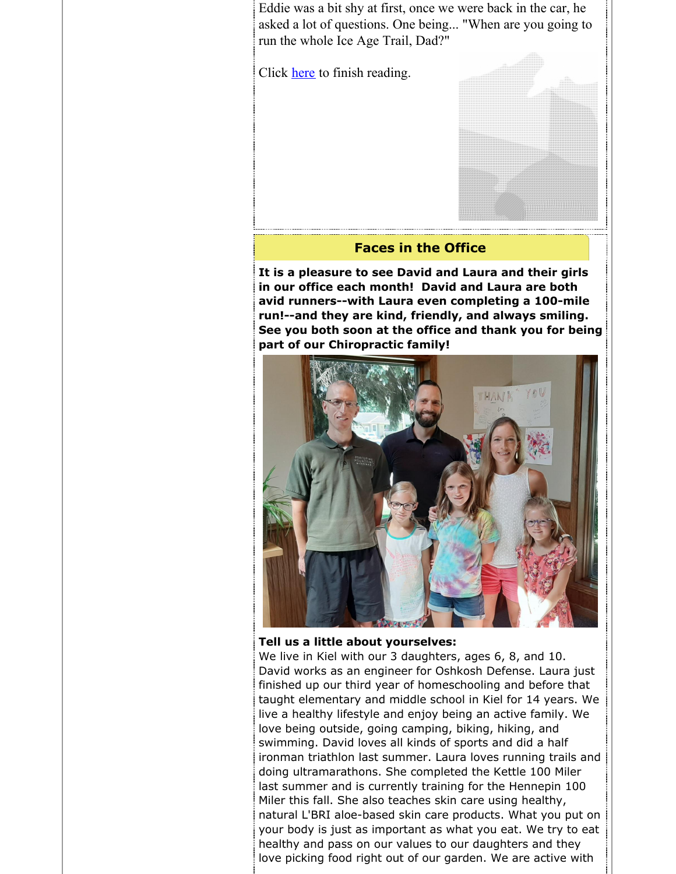Eddie was a bit shy at first, once we were back in the car, he asked a lot of questions. One being... "When are you going to run the whole Ice Age Trail, Dad?"

Click [here](https://gieblerchiropractic.blogspot.com/2020/07/new-normal.html) to finish reading.



**It is a pleasure to see David and Laura and their girls in our office each month! David and Laura are both avid runners--with Laura even completing a 100-mile run!--and they are kind, friendly, and always smiling. See you both soon at the office and thank you for being part of our Chiropractic family!**



#### **Tell us a little about yourselves:**

We live in Kiel with our 3 daughters, ages 6, 8, and 10. David works as an engineer for Oshkosh Defense. Laura just finished up our third year of homeschooling and before that taught elementary and middle school in Kiel for 14 years. We live a healthy lifestyle and enjoy being an active family. We love being outside, going camping, biking, hiking, and swimming. David loves all kinds of sports and did a half ironman triathlon last summer. Laura loves running trails and doing ultramarathons. She completed the Kettle 100 Miler last summer and is currently training for the Hennepin 100 Miler this fall. She also teaches skin care using healthy, natural L'BRI aloe-based skin care products. What you put on your body is just as important as what you eat. We try to eat healthy and pass on our values to our daughters and they love picking food right out of our garden. We are active with